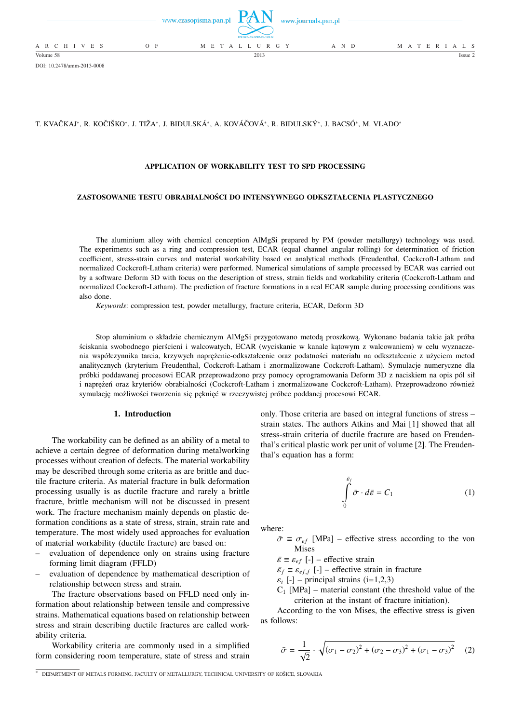

DOI: 10.2478/amm-2013-0008

## T. KVAČKAJ\*, R. KOČIŠKO\*, J. TIŽA\*, J. BIDULSKÁ\*, A. KOVÁČOVÁ\*, R. BIDULSKÝ\*, J. BACSÓ\*, M. VLADO\*

### **APPLICATION OF WORKABILITY TEST TO SPD PROCESSING**

### **ZASTOSOWANIE TESTU OBRABIALNOŚCI DO INTENSYWNEGO ODKSZTAŁCENIA PLASTYCZNEGO**

The aluminium alloy with chemical conception AlMgSi prepared by PM (powder metallurgy) technology was used. The experiments such as a ring and compression test, ECAR (equal channel angular rolling) for determination of friction coefficient, stress-strain curves and material workability based on analytical methods (Freudenthal, Cockcroft-Latham and normalized Cockcroft-Latham criteria) were performed. Numerical simulations of sample processed by ECAR was carried out by a software Deform 3D with focus on the description of stress, strain fields and workability criteria (Cockcroft-Latham and normalized Cockcroft-Latham). The prediction of fracture formations in a real ECAR sample during processing conditions was also done.

*Keywords*: compression test, powder metallurgy, fracture criteria, ECAR, Deform 3D

Stop aluminium o składzie chemicznym AlMgSi przygotowano metodą proszkową. Wykonano badania takie jak próba ściskania swobodnego pierścieni i walcowatych, ECAR (wyciskanie w kanale kątowym z walcowaniem) w celu wyznaczenia współczynnika tarcia, krzywych naprężenie-odkształcenie oraz podatności materiału na odkształcenie z użyciem metod analitycznych (kryterium Freudenthal, Cockcroft-Latham i znormalizowane Cockcroft-Latham). Symulacje numeryczne dla próbki poddawanej procesowi ECAR przeprowadzono przy pomocy oprogramowania Deform 3D z naciskiem na opis pól sił i naprężeń oraz kryteriów obrabialności (Cockcroft-Latham i znormalizowane Cockcroft-Latham). Przeprowadzono również symulację możliwości tworzenia się pęknięć w rzeczywistej próbce poddanej procesowi ECAR.

#### **1. Introduction**

The workability can be defined as an ability of a metal to achieve a certain degree of deformation during metalworking processes without creation of defects. The material workability may be described through some criteria as are brittle and ductile fracture criteria. As material fracture in bulk deformation processing usually is as ductile fracture and rarely a brittle fracture, brittle mechanism will not be discussed in present work. The fracture mechanism mainly depends on plastic deformation conditions as a state of stress, strain, strain rate and temperature. The most widely used approaches for evaluation of material workability (ductile fracture) are based on:

- evaluation of dependence only on strains using fracture forming limit diagram (FFLD)
- evaluation of dependence by mathematical description of relationship between stress and strain.

The fracture observations based on FFLD need only information about relationship between tensile and compressive strains. Mathematical equations based on relationship between stress and strain describing ductile fractures are called workability criteria.

Workability criteria are commonly used in a simplified form considering room temperature, state of stress and strain only. Those criteria are based on integral functions of stress – strain states. The authors Atkins and Mai [1] showed that all stress-strain criteria of ductile fracture are based on Freudenthal's critical plastic work per unit of volume [2]. The Freudenthal's equation has a form:

$$
\int_{0}^{\bar{\varepsilon}_{f}} \bar{\sigma} \cdot d\bar{\varepsilon} = C_{1}
$$
 (1)

where:

 $\bar{\sigma} \equiv \sigma_{ef}$  [MPa] – effective stress according to the von Mises

 $\bar{\varepsilon} \equiv \varepsilon_{ef}$  [-] – effective strain

 $\bar{\varepsilon}_f \equiv \varepsilon_{eff}$  [-] – effective strain in fracture

 $\varepsilon_i$  [-] – principal strains (i=1,2,3)

 $C_1$  [MPa] – material constant (the threshold value of the criterion at the instant of fracture initiation).

According to the von Mises, the effective stress is given as follows:

$$
\bar{\sigma} = \frac{1}{\sqrt{2}} \cdot \sqrt{(\sigma_1 - \sigma_2)^2 + (\sigma_2 - \sigma_3)^2 + (\sigma_1 - \sigma_3)^2}
$$
 (2)

<sup>∗</sup> DEPARTMENT OF METALS FORMING, FACULTY OF METALLURGY, TECHNICAL UNIVERSITY OF KOSICE, SLOVAKIA ˇ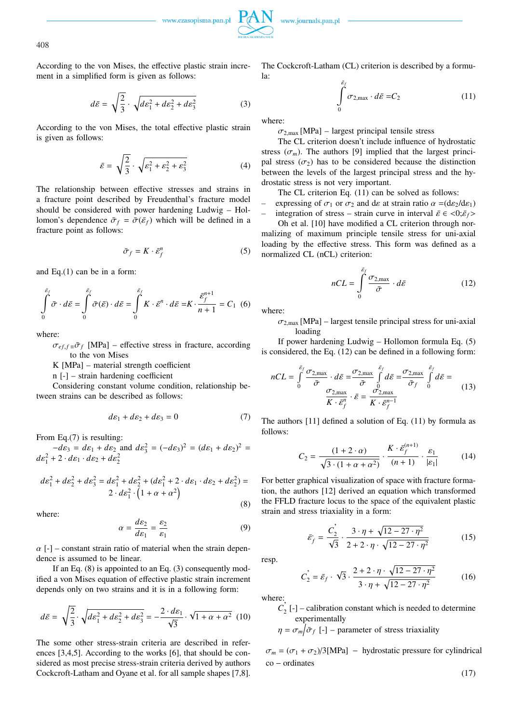

408

According to the von Mises, the effective plastic strain increment in a simplified form is given as follows:

$$
d\bar{\varepsilon} = \sqrt{\frac{2}{3}} \cdot \sqrt{d\varepsilon_1^2 + d\varepsilon_2^2 + d\varepsilon_3^2} \tag{3}
$$

According to the von Mises, the total effective plastic strain is given as follows:

$$
\bar{\varepsilon} = \sqrt{\frac{2}{3}} \cdot \sqrt{\varepsilon_1^2 + \varepsilon_2^2 + \varepsilon_3^2} \tag{4}
$$

The relationship between effective stresses and strains in a fracture point described by Freudenthal's fracture model should be considered with power hardening Ludwig – Hollomon's dependence  $\bar{\sigma}_f = \bar{\sigma}(\bar{\varepsilon}_f)$  which will be defined in a fracture point as follows:

$$
\bar{\sigma}_f = K \cdot \bar{\varepsilon}_f^n \tag{5}
$$

and Eq.(1) can be in a form:

$$
\int_{0}^{\bar{\varepsilon}_{f}} \bar{\sigma} \cdot d\bar{\varepsilon} = \int_{0}^{\bar{\varepsilon}_{f}} \bar{\sigma}(\bar{\varepsilon}) \cdot d\bar{\varepsilon} = \int_{0}^{\bar{\varepsilon}_{f}} K \cdot \bar{\varepsilon}^{n} \cdot d\bar{\varepsilon} = K \cdot \frac{\bar{\varepsilon}_{f}^{n+1}}{n+1} = C_{1} \tag{6}
$$

where:

 $\sigma_{ef,f \equiv \bar{\sigma}_f}$  [MPa] – effective stress in fracture, according to the von Mises

K [MPa] – material strength coefficient

n [-] – strain hardening coefficient

Considering constant volume condition, relationship between strains can be described as follows:

$$
d\varepsilon_1 + d\varepsilon_2 + d\varepsilon_3 = 0 \tag{7}
$$

From Eq.(7) is resulting:

 $-d\varepsilon_3 = d\varepsilon_1 + d\varepsilon_2$  and  $d\varepsilon_3^2 = (-d\varepsilon_3)^2 = (d\varepsilon_1 + d\varepsilon_2)^2 =$  $d\varepsilon_1^2$  + 2 ·  $d\varepsilon_1$  ·  $d\varepsilon_2$  +  $d\varepsilon_2^2$ 

$$
de_1^2 + de_2^2 + de_3^2 = de_1^2 + de_2^2 + (de_1^2 + 2 \cdot de_1 \cdot de_2 + de_2^2) = 2 \cdot de_1^2 \cdot (1 + \alpha + \alpha^2)
$$
\n(8)

where:

$$
\alpha = \frac{d\varepsilon_2}{d\varepsilon_1} = \frac{\varepsilon_2}{\varepsilon_1} \tag{9}
$$

 $\alpha$  [-] – constant strain ratio of material when the strain dependence is assumed to be linear.

If an Eq. (8) is appointed to an Eq. (3) consequently modified a von Mises equation of effective plastic strain increment depends only on two strains and it is in a following form:

$$
d\bar{\varepsilon} = \sqrt{\frac{2}{3}} \cdot \sqrt{d\varepsilon_1^2 + d\varepsilon_2^2 + d\varepsilon_3^2} = -\frac{2 \cdot d\varepsilon_1}{\sqrt{3}} \cdot \sqrt{1 + \alpha + \alpha^2} \tag{10}
$$

The some other stress-strain criteria are described in references [3,4,5]. According to the works [6], that should be considered as most precise stress-strain criteria derived by authors Cockcroft-Latham and Oyane et al. for all sample shapes [7,8]. The Cockcroft-Latham (CL) criterion is described by a formula:

$$
\int_{0}^{\bar{\varepsilon}_f} \sigma_{2,\max} \cdot d\bar{\varepsilon} = C_2 \tag{11}
$$

where:

 $\sigma_{2,\text{max}}$  [MPa] – largest principal tensile stress

The CL criterion doesn't include influence of hydrostatic stress  $(\sigma_m)$ . The authors [9] implied that the largest principal stress  $(\sigma_2)$  has to be considered because the distinction between the levels of the largest principal stress and the hydrostatic stress is not very important.

The CL criterion Eq. (11) can be solved as follows:

expressing of  $\sigma_1$  or  $\sigma_2$  and de at strain ratio  $\alpha = (d\varepsilon_2/d\varepsilon_1)$ 

integration of stress – strain curve in interval  $\bar{\varepsilon} \in \langle 0; \bar{\varepsilon}_f \rangle$ 

Oh et al. [10] have modified a CL criterion through normalizing of maximum principle tensile stress for uni-axial loading by the effective stress. This form was defined as a normalized CL (nCL) criterion:

$$
nCL = \int_{0}^{\bar{\varepsilon}_f} \frac{\sigma_{2,\max}}{\bar{\sigma}} \cdot d\bar{\varepsilon}
$$
 (12)

where:

 $\sigma_{2,\text{max}}$  [MPa] – largest tensile principal stress for uni-axial loading

If power hardening Ludwig – Hollomon formula Eq. (5) is considered, the Eq. (12) can be defined in a following form:

$$
nCL = \int_{0}^{\bar{\varepsilon}_{f}} \frac{\sigma_{2,\max}}{\bar{\sigma}} \cdot d\bar{\varepsilon} = \frac{\sigma_{2,\max}}{\bar{\sigma}} \int_{0}^{\bar{\varepsilon}_{f}} d\bar{\varepsilon} = \frac{\sigma_{2,\max}}{\bar{\sigma}_{f}} \int_{0}^{\bar{\varepsilon}_{f}} d\bar{\varepsilon} = \frac{\sigma_{2,\max}}{K \cdot \bar{\varepsilon}_{f}^{n-1}} \tag{13}
$$

The authors [11] defined a solution of Eq. (11) by formula as follows:

$$
C_2 = \frac{(1+2\cdot\alpha)}{\sqrt{3\cdot(1+\alpha+\alpha^2)}} \cdot \frac{K\cdot\bar{\varepsilon}_f^{(n+1)}}{(n+1)} \cdot \frac{\varepsilon_1}{|\varepsilon_1|} \tag{14}
$$

For better graphical visualization of space with fracture formation, the authors [12] derived an equation which transformed the FFLD fracture locus to the space of the equivalent plastic strain and stress triaxiality in a form:

$$
\bar{\varepsilon}_f = \frac{C_2}{\sqrt{3}} \cdot \frac{3 \cdot \eta + \sqrt{12 - 27 \cdot \eta^2}}{2 + 2 \cdot \eta \cdot \sqrt{12 - 27 \cdot \eta^2}}
$$
(15)

resp.

$$
C_2 = \bar{\varepsilon}_f \cdot \sqrt{3} \cdot \frac{2 + 2 \cdot \eta \cdot \sqrt{12 - 27 \cdot \eta^2}}{3 \cdot \eta + \sqrt{12 - 27 \cdot \eta^2}}
$$
(16)

where:

 $\overrightarrow{C}_2$  [-] – calibration constant which is needed to determine experimentally .

 $\eta = \sigma_m / \bar{\sigma}_f$  [-] – parameter of stress triaxiality

 $\sigma_m = (\sigma_1 + \sigma_2)/3$ [MPa] – hydrostatic pressure for cylindrical co − ordinates

(17)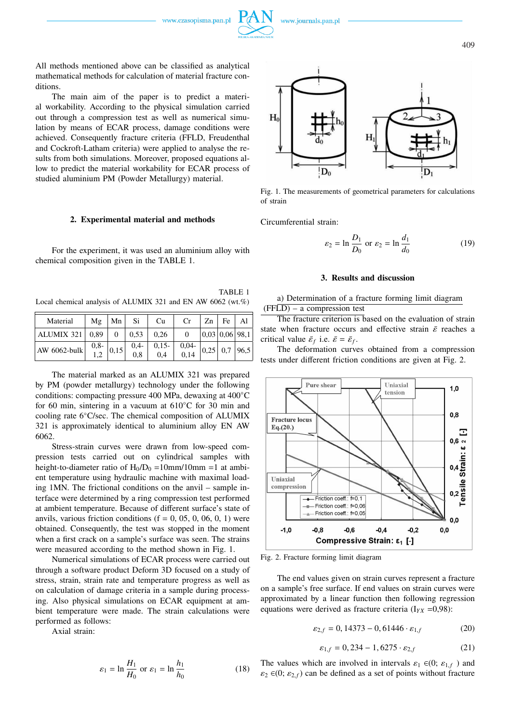All methods mentioned above can be classified as analytical mathematical methods for calculation of material fracture conditions.

The main aim of the paper is to predict a material workability. According to the physical simulation carried out through a compression test as well as numerical simulation by means of ECAR process, damage conditions were achieved. Consequently fracture criteria (FFLD, Freudenthal and Cockroft-Latham criteria) were applied to analyse the results from both simulations. Moreover, proposed equations allow to predict the material workability for ECAR process of studied aluminium PM (Powder Metallurgy) material.

### **2. Experimental material and methods**

For the experiment, it was used an aluminium alloy with chemical composition given in the TABLE 1.

TABLE 1 Local chemical analysis of ALUMIX 321 and EN AW 6062 (wt.%)

| Material                                                                         | Mε     | Mn   | Si.       | Cu             | Cr              | Zn                                             | $Fe$   Al |
|----------------------------------------------------------------------------------|--------|------|-----------|----------------|-----------------|------------------------------------------------|-----------|
| ALUMIX 321   0,89   0   0,53   0,26                                              |        |      |           |                | $\Omega$        | $\left  0.03 \right  0.06 \left  98.1 \right $ |           |
| AW 6062-bulk $\begin{vmatrix} 0 & 0 & 0 \\ 0 & 1 & 0 \\ 0 & 0 & 0 \end{vmatrix}$ | $0,8-$ | 0,15 | $0,4-0,8$ | $0,15-$<br>0.4 | $0,04-$<br>0,14 | $\vert 0.25 \vert 0.7 \vert 96.5$              |           |

The material marked as an ALUMIX 321 was prepared by PM (powder metallurgy) technology under the following conditions: compacting pressure 400 MPa, dewaxing at 400◦C for 60 min, sintering in a vacuum at 610◦C for 30 min and cooling rate 6◦C/sec. The chemical composition of ALUMIX 321 is approximately identical to aluminium alloy EN AW 6062.

Stress-strain curves were drawn from low-speed compression tests carried out on cylindrical samples with height-to-diameter ratio of  $H_0/D_0 = 10$ mm/10mm =1 at ambient temperature using hydraulic machine with maximal loading 1MN. The frictional conditions on the anvil – sample interface were determined by a ring compression test performed at ambient temperature. Because of different surface's state of anvils, various friction conditions  $(f = 0, 05, 0, 06, 0, 1)$  were obtained. Consequently, the test was stopped in the moment when a first crack on a sample's surface was seen. The strains were measured according to the method shown in Fig. 1.

Numerical simulations of ECAR process were carried out through a software product Deform 3D focused on a study of stress, strain, strain rate and temperature progress as well as on calculation of damage criteria in a sample during processing. Also physical simulations on ECAR equipment at ambient temperature were made. The strain calculations were performed as follows:

Axial strain:

$$
\varepsilon_1 = \ln \frac{H_1}{H_0} \text{ or } \varepsilon_1 = \ln \frac{h_1}{h_0} \tag{18}
$$



Fig. 1. The measurements of geometrical parameters for calculations of strain

Circumferential strain:

$$
\varepsilon_2 = \ln \frac{D_1}{D_0} \text{ or } \varepsilon_2 = \ln \frac{d_1}{d_0} \tag{19}
$$

### **3. Results and discussion**

a) Determination of a fracture forming limit diagram  $(FFLD)$  – a compression test

The fracture criterion is based on the evaluation of strain state when fracture occurs and effective strain  $\bar{\varepsilon}$  reaches a critical value  $\bar{\varepsilon}_f$  i.e.  $\bar{\varepsilon} = \bar{\varepsilon}_f$ .

The deformation curves obtained from a compression tests under different friction conditions are given at Fig. 2.



Fig. 2. Fracture forming limit diagram

The end values given on strain curves represent a fracture on a sample's free surface. If end values on strain curves were approximated by a linear function then following regression equations were derived as fracture criteria  $(I_{YX} = 0.98)$ :

$$
\varepsilon_{2,f} = 0,14373 - 0,61446 \cdot \varepsilon_{1,f} \tag{20}
$$

$$
\varepsilon_{1,f} = 0,234 - 1,6275 \cdot \varepsilon_{2,f} \tag{21}
$$

The values which are involved in intervals  $\varepsilon_1 \in (0; \varepsilon_{1,f})$  and  $\varepsilon_2 \in (0; \varepsilon_{2,f})$  can be defined as a set of points without fracture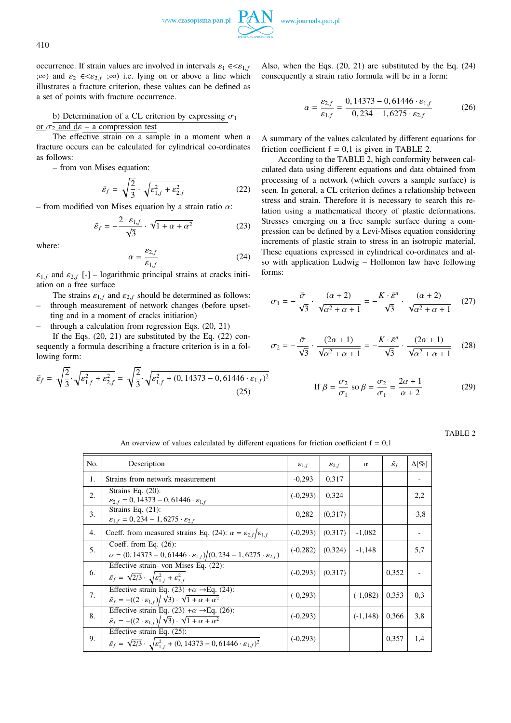

410

occurrence. If strain values are involved in intervals  $\varepsilon_1 \in \leq \varepsilon_{1,f}$ ;∞) and  $\varepsilon_2 \in \leq \varepsilon_{2,f}$  ;∞) i.e. lying on or above a line which illustrates a fracture criterion, these values can be defined as a set of points with fracture occurrence.

b) Determination of a CL criterion by expressing  $\sigma_1$ or  $\sigma_2$  and  $d\varepsilon$  – a compression test

The effective strain on a sample in a moment when a fracture occurs can be calculated for cylindrical co-ordinates as follows:

– from von Mises equation:

$$
\bar{\varepsilon}_f = \sqrt{\frac{2}{3}} \cdot \sqrt{\varepsilon_{1,f}^2 + \varepsilon_{2,f}^2}
$$
 (22)

– from modified von Mises equation by a strain ratio  $\alpha$ :

$$
\bar{\varepsilon}_f = -\frac{2 \cdot \varepsilon_{1,f}}{\sqrt{3}} \cdot \sqrt{1 + \alpha + \alpha^2} \tag{23}
$$

where:

$$
\alpha = \frac{\varepsilon_{2,f}}{\varepsilon_{1,f}}\tag{24}
$$

 $\varepsilon_{1,f}$  and  $\varepsilon_{2,f}$  [-] – logarithmic principal strains at cracks initiation on a free surface

- The strains  $\varepsilon_{1,f}$  and  $\varepsilon_{2,f}$  should be determined as follows: – through measurement of network changes (before upset-
- ting and in a moment of cracks initiation)
- through a calculation from regression Eqs.  $(20, 21)$

If the Eqs.  $(20, 21)$  are substituted by the Eq.  $(22)$  consequently a formula describing a fracture criterion is in a following form:

$$
\bar{\varepsilon}_f = \sqrt{\frac{2}{3}} \cdot \sqrt{\varepsilon_{1,f}^2 + \varepsilon_{2,f}^2} = \sqrt{\frac{2}{3}} \cdot \sqrt{\varepsilon_{1,f}^2 + (0, 14373 - 0, 61446 \cdot \varepsilon_{1,f})^2}
$$
(25)

Also, when the Eqs. (20, 21) are substituted by the Eq. (24) consequently a strain ratio formula will be in a form:

$$
\alpha = \frac{\varepsilon_{2,f}}{\varepsilon_{1,f}} = \frac{0,14373 - 0,61446 \cdot \varepsilon_{1,f}}{0,234 - 1,6275 \cdot \varepsilon_{2,f}} \tag{26}
$$

A summary of the values calculated by different equations for friction coefficient  $f = 0.1$  is given in TABLE 2.

According to the TABLE 2, high conformity between calculated data using different equations and data obtained from processing of a network (which covers a sample surface) is seen. In general, a CL criterion defines a relationship between stress and strain. Therefore it is necessary to search this relation using a mathematical theory of plastic deformations. Stresses emerging on a free sample surface during a compression can be defined by a Levi-Mises equation considering increments of plastic strain to stress in an isotropic material. These equations expressed in cylindrical co-ordinates and also with application Ludwig – Hollomon law have following forms:

$$
\sigma_1 = -\frac{\bar{\sigma}}{\sqrt{3}} \cdot \frac{(\alpha+2)}{\sqrt{\alpha^2 + \alpha + 1}} = -\frac{K \cdot \bar{\varepsilon}^n}{\sqrt{3}} \cdot \frac{(\alpha+2)}{\sqrt{\alpha^2 + \alpha + 1}} \quad (27)
$$

$$
\sigma_2 = -\frac{\bar{\sigma}}{\sqrt{3}} \cdot \frac{(2\alpha+1)}{\sqrt{\alpha^2+\alpha+1}} = -\frac{K \cdot \bar{\varepsilon}^n}{\sqrt{3}} \cdot \frac{(2\alpha+1)}{\sqrt{\alpha^2+\alpha+1}} \quad (28)
$$

If 
$$
\beta = \frac{\sigma_2}{\sigma_1}
$$
 so  $\beta = \frac{\sigma_2}{\sigma_1} = \frac{2\alpha + 1}{\alpha + 2}$  (29)

TABLE 2

An overview of values calculated by different equations for friction coefficient  $f = 0,1$ 

| No. | Description                                                                                                                                                      | $\varepsilon_{1,f}$ | $\varepsilon_{2,f}$ | $\alpha$    | $\bar{\mathcal{E}}_f$ | $\Delta[\%]$ |
|-----|------------------------------------------------------------------------------------------------------------------------------------------------------------------|---------------------|---------------------|-------------|-----------------------|--------------|
| 1.  | Strains from network measurement                                                                                                                                 | $-0,293$            | 0,317               |             |                       |              |
| 2.  | Strains Eq. $(20)$ :<br>$\varepsilon_{2,f} = 0$ , 14373 – 0, 61446 $\cdot \varepsilon_{1,f}$                                                                     | $(-0, 293)$         | 0,324               |             |                       | 2,2          |
| 3.  | Strains Eq. $(21)$ :<br>$\varepsilon_{1,f} = 0,234 - 1,6275 \cdot \varepsilon_{2,f}$                                                                             | $-0,282$            | (0,317)             |             |                       | $-3,8$       |
| 4.  | Coeff. from measured strains Eq. (24): $\alpha = \varepsilon_{2,f}/\varepsilon_{1,f}$                                                                            | $(-0, 293)$         | (0,317)             | $-1,082$    |                       |              |
| 5.  | Coeff. from Eq. $(26)$ :<br>$\alpha = (0, 14373 - 0, 61446 \cdot \varepsilon_{1,f})/(0, 234 - 1, 6275 \cdot \varepsilon_{2,f})$                                  | $(-0.282)$          | (0,324)             | $-1,148$    |                       | 5,7          |
| 6.  | Effective strain- von Mises Eq. (22):<br>$\bar{\varepsilon}_f = \sqrt{2/3} \cdot \sqrt{\varepsilon_{1,f}^2 + \varepsilon_{2,f}^2}$                               | $(-0, 293)$         | (0,317)             |             | 0,352                 |              |
| 7.  | Effective strain Eq. (23) + $\alpha \rightarrow$ Eq. (24):<br>$\bar{\varepsilon}_f = -((2 \cdot \varepsilon_{1,f})/\sqrt{3}) \cdot \sqrt{1 + \alpha + \alpha^2}$ | $(-0, 293)$         |                     | $(-1,082)$  | 0,353                 | 0.3          |
| 8.  | Effective strain Eq. (23) + $\alpha \rightarrow$ Eq. (26):<br>$\bar{\varepsilon}_f = -((2 \cdot \varepsilon_{1,f})/\sqrt{3}) \cdot \sqrt{1 + \alpha + \alpha^2}$ | $(-0, 293)$         |                     | $(-1, 148)$ | 0,366                 | 3,8          |
| 9.  | Effective strain Eq. (25):<br>$\bar{\varepsilon}_f = \sqrt{2/3} \cdot \sqrt{\varepsilon_{1,f}^2 + (0, 14373 - 0, 61446 \cdot \varepsilon_{1,f})^2}$              | $(-0, 293)$         |                     |             | 0,357                 | 1,4          |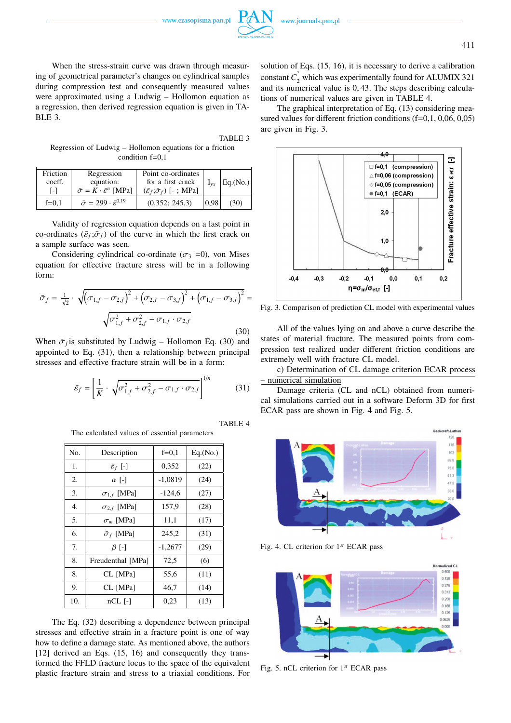When the stress-strain curve was drawn through measuring of geometrical parameter's changes on cylindrical samples during compression test and consequently measured values were approximated using a Ludwig – Hollomon equation as a regression, then derived regression equation is given in TA-BLE 3.

TABLE 3 Regression of Ludwig – Hollomon equations for a friction condition  $f=0.1$ 

| Friction<br>coeff.<br>l – I | Regression<br>equation:<br>$\bar{\sigma} = K \cdot \bar{\varepsilon}^n$ [MPa] | Point co-ordinates<br>for a first crack<br>$(\bar{\varepsilon}_f; \bar{\sigma}_f)$ [-; MPa] | $I_{vx}$ | Eq.(No.) |
|-----------------------------|-------------------------------------------------------------------------------|---------------------------------------------------------------------------------------------|----------|----------|
| $f=0,1$                     | $\bar{\sigma} = 299 \cdot \bar{\varepsilon}^{0.19}$                           | (0,352; 245,3)                                                                              | 0.98     | (30)     |

Validity of regression equation depends on a last point in co-ordinates  $(\bar{\varepsilon}_f; \bar{\sigma}_f)$  of the curve in which the first crack on a sample surface was seen.

Considering cylindrical co-ordinate ( $\sigma_3$  =0), von Mises equation for effective fracture stress will be in a following form:

$$
\bar{\sigma}_f = \frac{1}{\sqrt{2}} \cdot \sqrt{\left(\sigma_{1,f} - \sigma_{2,f}\right)^2 + \left(\sigma_{2,f} - \sigma_{3,f}\right)^2 + \left(\sigma_{1,f} - \sigma_{3,f}\right)^2} = \sqrt{\sigma_{1,f}^2 + \sigma_{2,f}^2 - \sigma_{1,f} \cdot \sigma_{2,f}}
$$
\n(30)

(30)

When  $\bar{\sigma}_f$  is substituted by Ludwig – Hollomon Eq. (30) and appointed to Eq. (31), then a relationship between principal stresses and effective fracture strain will be in a form:

$$
\bar{\varepsilon}_f = \left[ \frac{1}{K} \cdot \sqrt{\sigma_{1,f}^2 + \sigma_{2,f}^2 - \sigma_{1,f} \cdot \sigma_{2,f}} \right]^{1/n}
$$
(31)

TABLE 4

The calculated values of essential parameters

| No. | Description               | $f=0,1$   | Eq.(No.) |
|-----|---------------------------|-----------|----------|
| 1.  | $\bar{\varepsilon}_f$ [-] | 0,352     | (22)     |
| 2.  | $\alpha$ [-]              | $-1,0819$ | (24)     |
| 3.  | $\sigma_{1,f}$ [MPa]      | $-124,6$  | (27)     |
| 4.  | $\sigma_{2,f}$ [MPa]      | 157,9     | (28)     |
| 5.  | $\sigma_m$ [MPa]          | 11,1      | (17)     |
| 6.  | $\bar{\sigma}_f$ [MPa]    | 245,2     | (31)     |
| 7.  | $\beta$ [-]               | $-1,2677$ | (29)     |
| 8.  | Freudenthal [MPa]         | 72,5      | (6)      |
| 8.  | CL [MPa]                  | 55,6      | (11)     |
| 9.  | CL [MPa]                  | 46,7      | (14)     |
| 10. | $nCL$ [-1]                | 0,23      | (13)     |

The Eq. (32) describing a dependence between principal stresses and effective strain in a fracture point is one of way how to define a damage state. As mentioned above, the authors [12] derived an Eqs. (15, 16) and consequently they transformed the FFLD fracture locus to the space of the equivalent plastic fracture strain and stress to a triaxial conditions. For

solution of Eqs. (15, 16), it is necessary to derive a calibration constant  $C_2$ <sup>'</sup> which was experimentally found for ALUMIX 321 and its numerical value is 0, 43. The steps describing calculations of numerical values are given in TABLE 4.

The graphical interpretation of Eq. (13) considering measured values for different friction conditions (f=0,1, 0,06, 0,05) are given in Fig. 3.



Fig. 3. Comparison of prediction CL model with experimental values

All of the values lying on and above a curve describe the states of material fracture. The measured points from compression test realized under different friction conditions are extremely well with fracture CL model.

c) Determination of CL damage criterion ECAR process – numerical simulation

Damage criteria (CL and nCL) obtained from numerical simulations carried out in a software Deform 3D for first ECAR pass are shown in Fig. 4 and Fig. 5.



Fig. 4. CL criterion for 1*st* ECAR pass



Fig. 5. nCL criterion for 1*st* ECAR pass